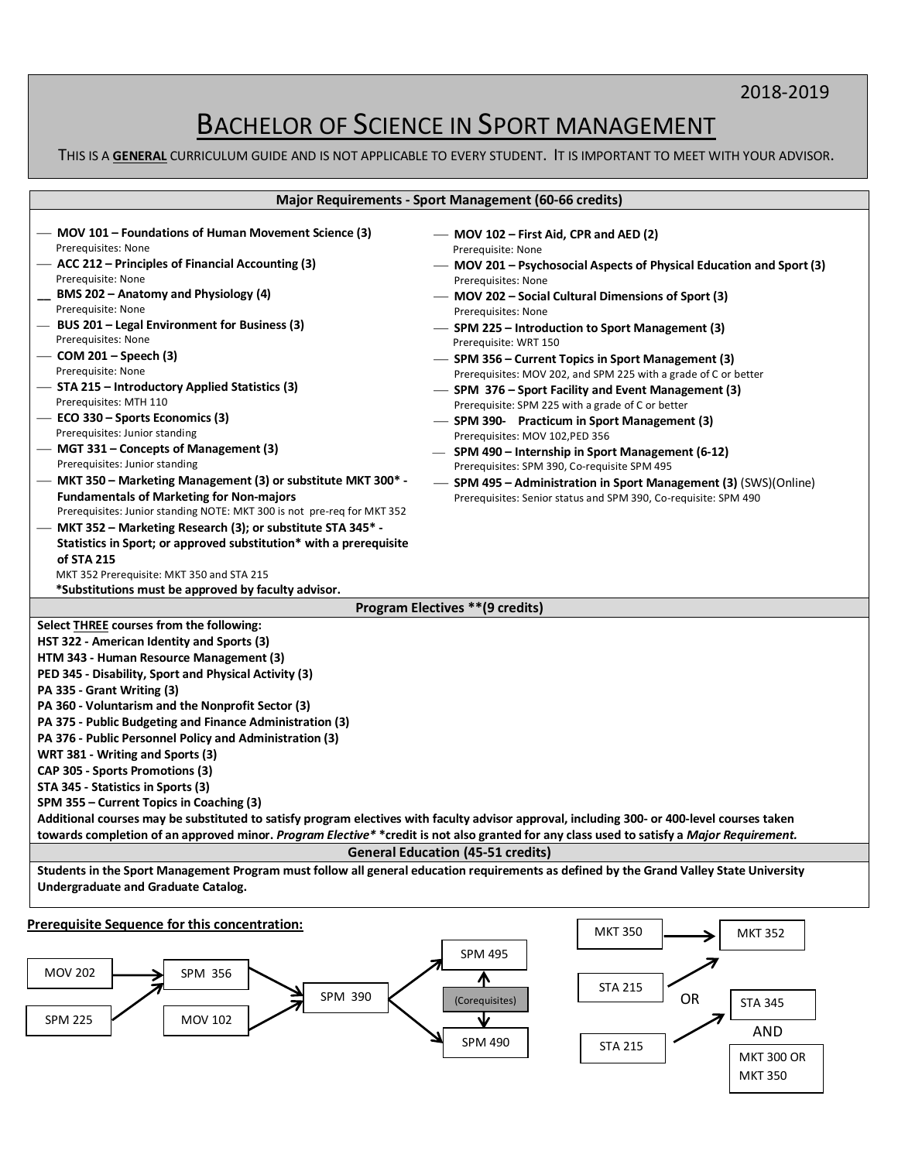# 2018-2019

# BACHELOR OF SCIENCE IN SPORT MANAGEMENT

THIS IS A **GENERAL** CURRICULUM GUIDE AND IS NOT APPLICABLE TO EVERY STUDENT. IT IS IMPORTANT TO MEET WITH YOUR ADVISOR.

| <b>Major Requirements - Sport Management (60-66 credits)</b>                                                                                                                                                                                                                                                                                                                                                                                                                                                                                                                                                                                                                                                                                                                                                                                                                                                                                                                                   |                                                                                                                                                                                                                                                                                                                                                                                                                                                                                                                                                                                                                                                                                                                                                                                                                                                                                            |  |
|------------------------------------------------------------------------------------------------------------------------------------------------------------------------------------------------------------------------------------------------------------------------------------------------------------------------------------------------------------------------------------------------------------------------------------------------------------------------------------------------------------------------------------------------------------------------------------------------------------------------------------------------------------------------------------------------------------------------------------------------------------------------------------------------------------------------------------------------------------------------------------------------------------------------------------------------------------------------------------------------|--------------------------------------------------------------------------------------------------------------------------------------------------------------------------------------------------------------------------------------------------------------------------------------------------------------------------------------------------------------------------------------------------------------------------------------------------------------------------------------------------------------------------------------------------------------------------------------------------------------------------------------------------------------------------------------------------------------------------------------------------------------------------------------------------------------------------------------------------------------------------------------------|--|
| — MOV 101 – Foundations of Human Movement Science (3)<br>Prerequisites: None<br>- ACC 212 - Principles of Financial Accounting (3)<br>Prerequisite: None<br>BMS 202 – Anatomy and Physiology (4)<br>Prerequisite: None<br>- BUS 201 – Legal Environment for Business (3)<br>Prerequisites: None<br>— COM 201 – Speech $(3)$<br>Prerequisite: None<br>- STA 215 – Introductory Applied Statistics (3)<br>Prerequisites: MTH 110<br>$-$ ECO 330 – Sports Economics (3)<br>Prerequisites: Junior standing<br>- MGT 331 – Concepts of Management (3)<br>Prerequisites: Junior standing<br>— MKT 350 – Marketing Management (3) or substitute MKT 300* -<br><b>Fundamentals of Marketing for Non-majors</b><br>Prerequisites: Junior standing NOTE: MKT 300 is not pre-req for MKT 352<br>— MKT 352 – Marketing Research (3); or substitute STA 345 <sup>*</sup> -<br>Statistics in Sport; or approved substitution* with a prerequisite<br>of STA 215<br>MKT 352 Prerequisite: MKT 350 and STA 215 | - MOV 102 - First Aid, CPR and AED (2)<br>Prerequisite: None<br>— MOV 201 – Psychosocial Aspects of Physical Education and Sport (3)<br>Prerequisites: None<br>- MOV 202 – Social Cultural Dimensions of Sport (3)<br>Prerequisites: None<br>- SPM 225 – Introduction to Sport Management (3)<br>Prerequisite: WRT 150<br>- SPM 356 – Current Topics in Sport Management (3)<br>Prerequisites: MOV 202, and SPM 225 with a grade of C or better<br>- SPM 376 – Sport Facility and Event Management (3)<br>Prerequisite: SPM 225 with a grade of C or better<br>- SPM 390- Practicum in Sport Management (3)<br>Prerequisites: MOV 102, PED 356<br>- SPM 490 – Internship in Sport Management (6-12)<br>Prerequisites: SPM 390, Co-requisite SPM 495<br>- SPM 495 – Administration in Sport Management (3) (SWS)(Online)<br>Prerequisites: Senior status and SPM 390, Co-requisite: SPM 490 |  |
| *Substitutions must be approved by faculty advisor.                                                                                                                                                                                                                                                                                                                                                                                                                                                                                                                                                                                                                                                                                                                                                                                                                                                                                                                                            |                                                                                                                                                                                                                                                                                                                                                                                                                                                                                                                                                                                                                                                                                                                                                                                                                                                                                            |  |
| Select THREE courses from the following:                                                                                                                                                                                                                                                                                                                                                                                                                                                                                                                                                                                                                                                                                                                                                                                                                                                                                                                                                       | <b>Program Electives ** (9 credits)</b>                                                                                                                                                                                                                                                                                                                                                                                                                                                                                                                                                                                                                                                                                                                                                                                                                                                    |  |
| HST 322 - American Identity and Sports (3)<br>HTM 343 - Human Resource Management (3)<br>PED 345 - Disability, Sport and Physical Activity (3)<br>PA 335 - Grant Writing (3)<br>PA 360 - Voluntarism and the Nonprofit Sector (3)<br>PA 375 - Public Budgeting and Finance Administration (3)<br>PA 376 - Public Personnel Policy and Administration (3)<br>WRT 381 - Writing and Sports (3)<br>CAP 305 - Sports Promotions (3)<br>STA 345 - Statistics in Sports (3)<br>SPM 355 – Current Topics in Coaching (3)<br>Additional courses may be substituted to satisfy program electives with faculty advisor approval, including 300- or 400-level courses taken<br>towards completion of an approved minor. Program Elective* *credit is not also granted for any class used to satisfy a Major Requirement.                                                                                                                                                                                  | <b>General Education (45-51 credits)</b>                                                                                                                                                                                                                                                                                                                                                                                                                                                                                                                                                                                                                                                                                                                                                                                                                                                   |  |
| Students in the Sport Management Program must follow all general education requirements as defined by the Grand Valley State University                                                                                                                                                                                                                                                                                                                                                                                                                                                                                                                                                                                                                                                                                                                                                                                                                                                        |                                                                                                                                                                                                                                                                                                                                                                                                                                                                                                                                                                                                                                                                                                                                                                                                                                                                                            |  |
| Undergraduate and Graduate Catalog.                                                                                                                                                                                                                                                                                                                                                                                                                                                                                                                                                                                                                                                                                                                                                                                                                                                                                                                                                            |                                                                                                                                                                                                                                                                                                                                                                                                                                                                                                                                                                                                                                                                                                                                                                                                                                                                                            |  |